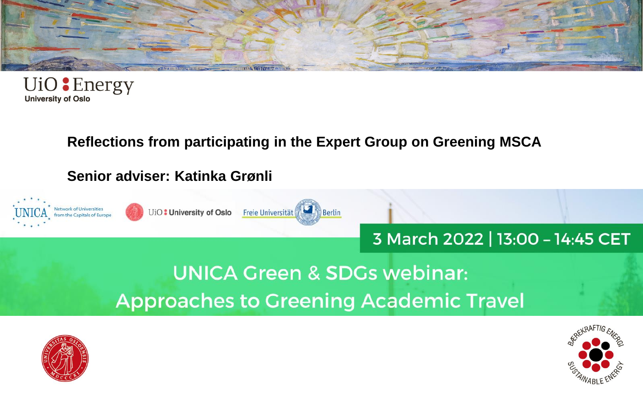



#### **Reflections from participating in the Expert Group on Greening MSCA**

#### **Senior adviser: Katinka Grønli**





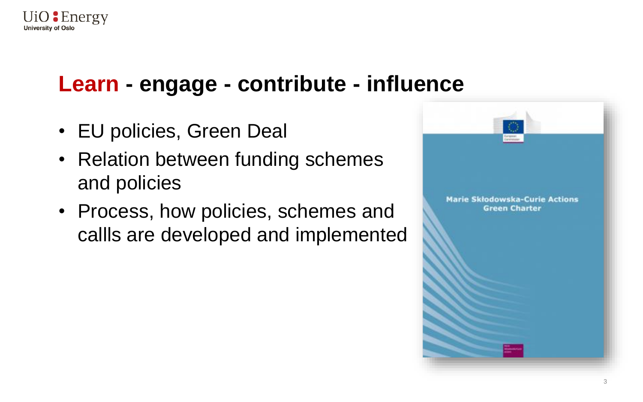

## **Learn - engage - contribute - influence**

- EU policies, Green Deal
- Relation between funding schemes and policies
- Process, how policies, schemes and callls are developed and implemented

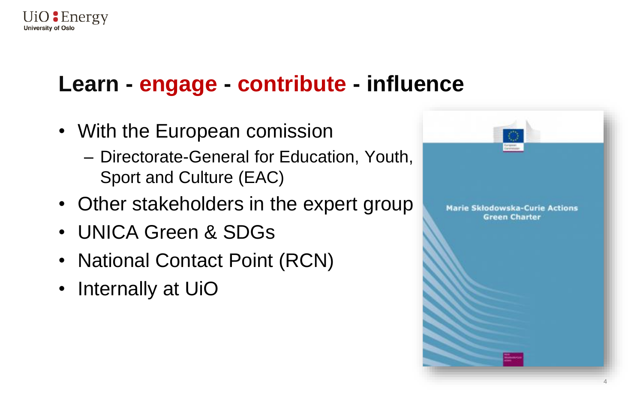

# **Learn - engage - contribute - influence**

- With the European comission
	- Directorate-General for Education, Youth, Sport and Culture (EAC)
- Other stakeholders in the expert group
- UNICA Green & SDGs
- National Contact Point (RCN)
- Internally at UiO

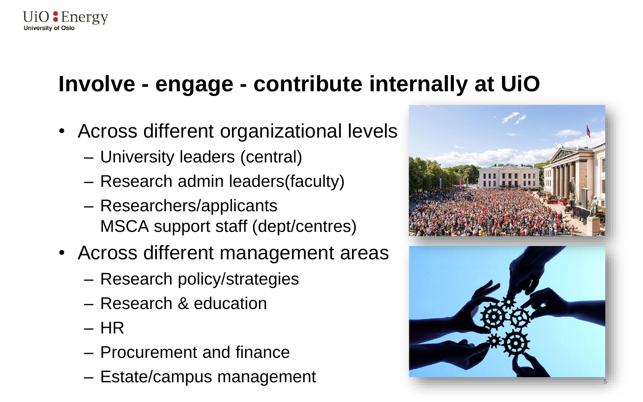

# **Involve - engage - contribute internally at UiO**

- Across different organizational levels
	- University leaders (central)
	- Research admin leaders(faculty)
	- Researchers/applicants MSCA support staff (dept/centres)
- Across different management areas
	- Research policy/strategies
	- Research & education
	- HR
	- Procurement and finance
	- Estate/campus management <sup>5</sup>



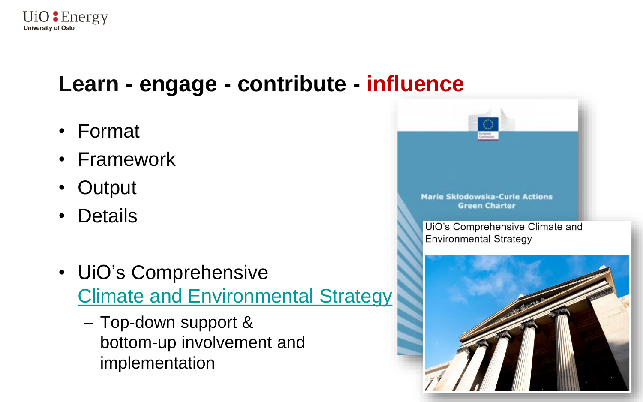

## **Learn - engage - contribute - influence**

- Format
- Framework
- Output
- Details
- UiO's Comprehensive Climate [and Environmental](https://www.uio.no/english/about/strategy/climate-strategy/index.html) Strategy
	- Top-down support & bottom-up involvement and implementation

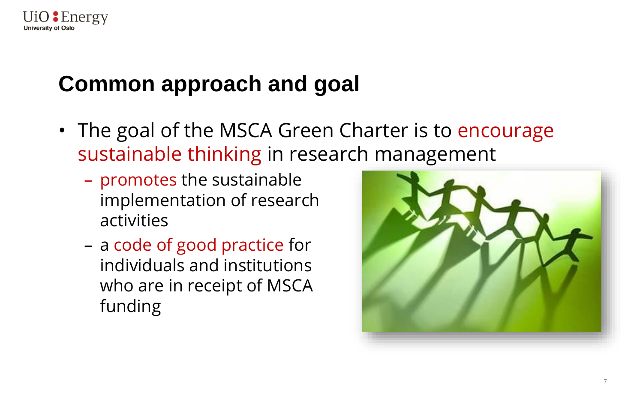

## **Common approach and goal**

- The goal of the MSCA Green Charter is to encourage sustainable thinking in research management
	- promotes the sustainable implementation of research activities
	- a code of good practice for individuals and institutions who are in receipt of MSCA funding